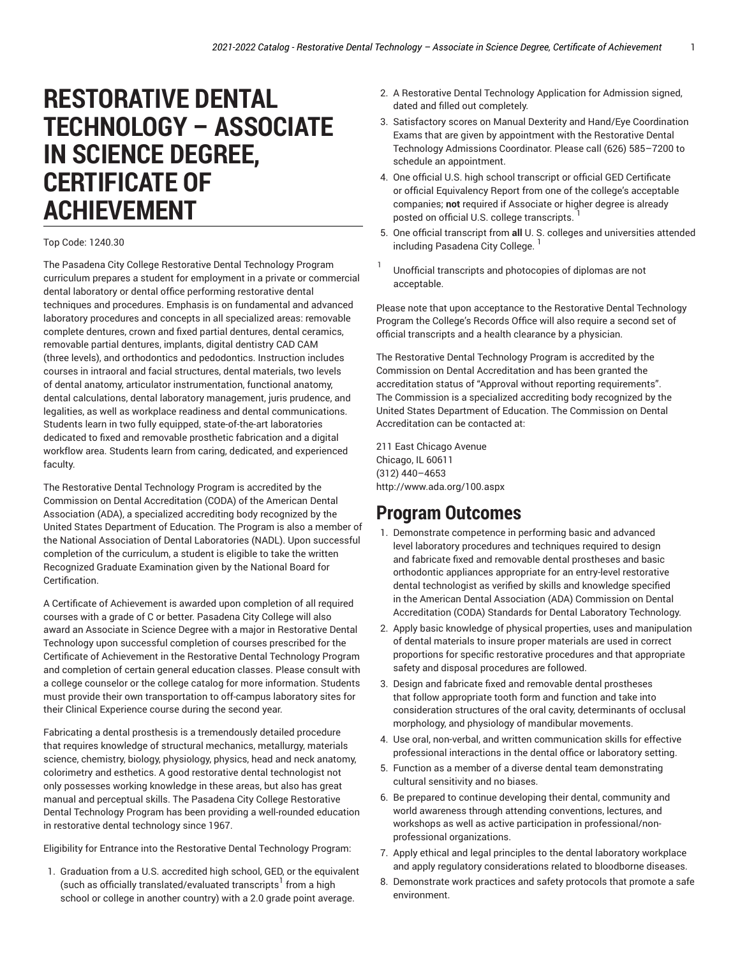# **RESTORATIVE DENTAL TECHNOLOGY – ASSOCIATE IN SCIENCE DEGREE, CERTIFICATE OF ACHIEVEMENT**

#### Top Code: 1240.30

The Pasadena City College Restorative Dental Technology Program curriculum prepares a student for employment in a private or commercial dental laboratory or dental office performing restorative dental techniques and procedures. Emphasis is on fundamental and advanced laboratory procedures and concepts in all specialized areas: removable complete dentures, crown and fixed partial dentures, dental ceramics, removable partial dentures, implants, digital dentistry CAD CAM (three levels), and orthodontics and pedodontics. Instruction includes courses in intraoral and facial structures, dental materials, two levels of dental anatomy, articulator instrumentation, functional anatomy, dental calculations, dental laboratory management, juris prudence, and legalities, as well as workplace readiness and dental communications. Students learn in two fully equipped, state-of-the-art laboratories dedicated to fixed and removable prosthetic fabrication and a digital workflow area. Students learn from caring, dedicated, and experienced faculty.

The Restorative Dental Technology Program is accredited by the Commission on Dental Accreditation (CODA) of the American Dental Association (ADA), a specialized accrediting body recognized by the United States Department of Education. The Program is also a member of the National Association of Dental Laboratories (NADL). Upon successful completion of the curriculum, a student is eligible to take the written Recognized Graduate Examination given by the National Board for Certification.

A Certificate of Achievement is awarded upon completion of all required courses with a grade of C or better. Pasadena City College will also award an Associate in Science Degree with a major in Restorative Dental Technology upon successful completion of courses prescribed for the Certificate of Achievement in the Restorative Dental Technology Program and completion of certain general education classes. Please consult with a college counselor or the college catalog for more information. Students must provide their own transportation to off-campus laboratory sites for their Clinical Experience course during the second year.

Fabricating a dental prosthesis is a tremendously detailed procedure that requires knowledge of structural mechanics, metallurgy, materials science, chemistry, biology, physiology, physics, head and neck anatomy, colorimetry and esthetics. A good restorative dental technologist not only possesses working knowledge in these areas, but also has great manual and perceptual skills. The Pasadena City College Restorative Dental Technology Program has been providing a well-rounded education in restorative dental technology since 1967.

Eligibility for Entrance into the Restorative Dental Technology Program:

1. Graduation from a U.S. accredited high school, GED, or the equivalent (such as officially translated/evaluated transcripts $^{\mathrm{1}}$  from a high school or college in another country) with a 2.0 grade point average.

- 2. A Restorative Dental Technology Application for Admission signed, dated and filled out completely.
- 3. Satisfactory scores on Manual Dexterity and Hand/Eye Coordination Exams that are given by appointment with the Restorative Dental Technology Admissions Coordinator. Please call (626) 585–7200 to schedule an appointment.
- 4. One official U.S. high school transcript or official GED Certificate or official Equivalency Report from one of the college's acceptable companies; **not** required if Associate or higher degree is already posted on official U.S. college transcripts. <sup>1</sup>
- 5. One official transcript from **all** U. S. colleges and universities attended including Pasadena City College. 1
- 1 Unofficial transcripts and photocopies of diplomas are not acceptable.

Please note that upon acceptance to the Restorative Dental Technology Program the College's Records Office will also require a second set of official transcripts and a health clearance by a physician.

The Restorative Dental Technology Program is accredited by the Commission on Dental Accreditation and has been granted the accreditation status of "Approval without reporting requirements". The Commission is a specialized accrediting body recognized by the United States Department of Education. The Commission on Dental Accreditation can be contacted at:

211 East Chicago Avenue Chicago, IL 60611 (312) 440–4653 <http://www.ada.org/100.aspx>

#### **Program Outcomes**

- 1. Demonstrate competence in performing basic and advanced level laboratory procedures and techniques required to design and fabricate fixed and removable dental prostheses and basic orthodontic appliances appropriate for an entry-level restorative dental technologist as verified by skills and knowledge specified in the American Dental Association (ADA) Commission on Dental Accreditation (CODA) Standards for Dental Laboratory Technology.
- 2. Apply basic knowledge of physical properties, uses and manipulation of dental materials to insure proper materials are used in correct proportions for specific restorative procedures and that appropriate safety and disposal procedures are followed.
- 3. Design and fabricate fixed and removable dental prostheses that follow appropriate tooth form and function and take into consideration structures of the oral cavity, determinants of occlusal morphology, and physiology of mandibular movements.
- 4. Use oral, non-verbal, and written communication skills for effective professional interactions in the dental office or laboratory setting.
- 5. Function as a member of a diverse dental team demonstrating cultural sensitivity and no biases.
- 6. Be prepared to continue developing their dental, community and world awareness through attending conventions, lectures, and workshops as well as active participation in professional/nonprofessional organizations.
- 7. Apply ethical and legal principles to the dental laboratory workplace and apply regulatory considerations related to bloodborne diseases.
- 8. Demonstrate work practices and safety protocols that promote a safe environment.